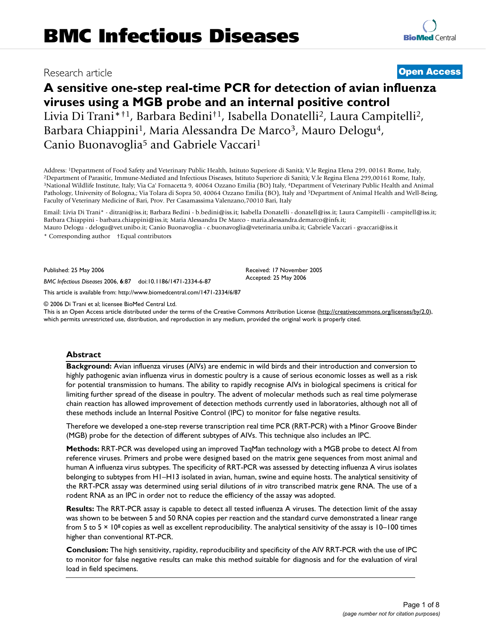# Research article **[Open Access](http://www.biomedcentral.com/info/about/charter/)**

# **A sensitive one-step real-time PCR for detection of avian influenza viruses using a MGB probe and an internal positive control** Livia Di Trani\*†1, Barbara Bedini†1, Isabella Donatelli2, Laura Campitelli2, Barbara Chiappini<sup>1</sup>, Maria Alessandra De Marco<sup>3</sup>, Mauro Delogu<sup>4</sup>, Canio Buonavoglia<sup>5</sup> and Gabriele Vaccari<sup>1</sup>

Address: 1Department of Food Safety and Veterinary Public Health, Istituto Superiore di Sanità; V.le Regina Elena 299, 00161 Rome, Italy, <sup>2</sup>Department of Parasitic, Immune-Mediated and Infectious Diseases, Istituto Superiore di Sanità; V.le Regina Elena 299,00161 Rome, Italy, <sup>3</sup>National Wildlife Institute, Italy; Via Ca' Fornacetta 9, 40064 Ozzano Emilia ( Pathology, University of Bologna,; Via Tolara di Sopra 50, 40064 Ozzano Emilia (BO), Italy and <sup>5</sup>Department of Animal Health and Well-Being, Faculty of Veterinary Medicine of Bari, Prov. Per Casamassima Valenzano,70010 Bari, Italy

Email: Livia Di Trani\* - ditrani@iss.it; Barbara Bedini - b.bedini@iss.it; Isabella Donatelli - donatell@iss.it; Laura Campitelli - campitell@iss.it; Barbara Chiappini - barbara.chiappini@iss.it; Maria Alessandra De Marco - maria.alessandra.demarco@infs.it;

> Received: 17 November 2005 Accepted: 25 May 2006

Mauro Delogu - delogu@vet.unibo.it; Canio Buonavoglia - c.buonavoglia@veterinaria.uniba.it; Gabriele Vaccari - gvaccari@iss.it \* Corresponding author †Equal contributors

Published: 25 May 2006

*BMC Infectious Diseases* 2006, **6**:87 doi:10.1186/1471-2334-6-87

[This article is available from: http://www.biomedcentral.com/1471-2334/6/87](http://www.biomedcentral.com/1471-2334/6/87)

© 2006 Di Trani et al; licensee BioMed Central Ltd.

This is an Open Access article distributed under the terms of the Creative Commons Attribution License [\(http://creativecommons.org/licenses/by/2.0\)](http://creativecommons.org/licenses/by/2.0), which permits unrestricted use, distribution, and reproduction in any medium, provided the original work is properly cited.

## **Abstract**

**Background:** Avian influenza viruses (AIVs) are endemic in wild birds and their introduction and conversion to highly pathogenic avian influenza virus in domestic poultry is a cause of serious economic losses as well as a risk for potential transmission to humans. The ability to rapidly recognise AIVs in biological specimens is critical for limiting further spread of the disease in poultry. The advent of molecular methods such as real time polymerase chain reaction has allowed improvement of detection methods currently used in laboratories, although not all of these methods include an Internal Positive Control (IPC) to monitor for false negative results.

Therefore we developed a one-step reverse transcription real time PCR (RRT-PCR) with a Minor Groove Binder (MGB) probe for the detection of different subtypes of AIVs. This technique also includes an IPC.

**Methods:** RRT-PCR was developed using an improved TaqMan technology with a MGB probe to detect AI from reference viruses. Primers and probe were designed based on the matrix gene sequences from most animal and human A influenza virus subtypes. The specificity of RRT-PCR was assessed by detecting influenza A virus isolates belonging to subtypes from H1–H13 isolated in avian, human, swine and equine hosts. The analytical sensitivity of the RRT-PCR assay was determined using serial dilutions of *in vitro* transcribed matrix gene RNA. The use of a rodent RNA as an IPC in order not to reduce the efficiency of the assay was adopted.

**Results:** The RRT-PCR assay is capable to detect all tested influenza A viruses. The detection limit of the assay was shown to be between 5 and 50 RNA copies per reaction and the standard curve demonstrated a linear range from 5 to  $5 \times 10^8$  copies as well as excellent reproducibility. The analytical sensitivity of the assay is  $10-100$  times higher than conventional RT-PCR.

**Conclusion:** The high sensitivity, rapidity, reproducibility and specificity of the AIV RRT-PCR with the use of IPC to monitor for false negative results can make this method suitable for diagnosis and for the evaluation of viral load in field specimens.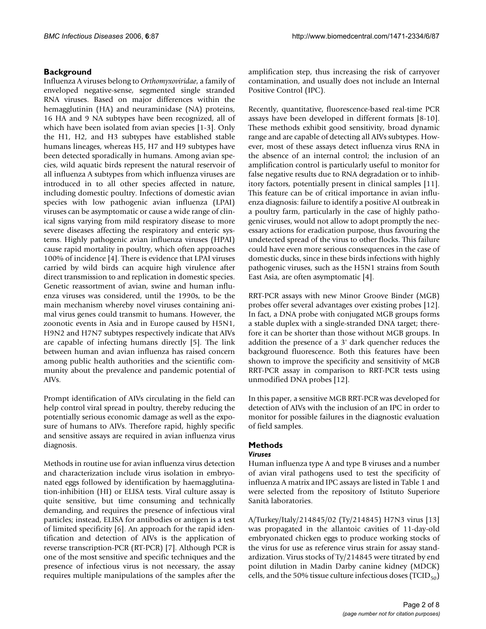# **Background**

Influenza A viruses belong to *Orthomyxoviridae*, a family of enveloped negative-sense, segmented single stranded RNA viruses. Based on major differences within the hemagglutinin (HA) and neuraminidase (NA) proteins, 16 HA and 9 NA subtypes have been recognized, all of which have been isolated from avian species [1-3]. Only the H1, H2, and H3 subtypes have established stable humans lineages, whereas H5, H7 and H9 subtypes have been detected sporadically in humans. Among avian species, wild aquatic birds represent the natural reservoir of all influenza A subtypes from which influenza viruses are introduced in to all other species affected in nature, including domestic poultry. Infections of domestic avian species with low pathogenic avian influenza (LPAI) viruses can be asymptomatic or cause a wide range of clinical signs varying from mild respiratory disease to more severe diseases affecting the respiratory and enteric systems. Highly pathogenic avian influenza viruses (HPAI) cause rapid mortality in poultry, which often approaches 100% of incidence [4]. There is evidence that LPAI viruses carried by wild birds can acquire high virulence after direct transmission to and replication in domestic species. Genetic reassortment of avian, swine and human influenza viruses was considered, until the 1990s, to be the main mechanism whereby novel viruses containing animal virus genes could transmit to humans. However, the zoonotic events in Asia and in Europe caused by H5N1, H9N2 and H7N7 subtypes respectively indicate that AIVs are capable of infecting humans directly [5]. The link between human and avian influenza has raised concern among public health authorities and the scientific community about the prevalence and pandemic potential of AIVs.

Prompt identification of AIVs circulating in the field can help control viral spread in poultry, thereby reducing the potentially serious economic damage as well as the exposure of humans to AIVs. Therefore rapid, highly specific and sensitive assays are required in avian influenza virus diagnosis.

Methods in routine use for avian influenza virus detection and characterization include virus isolation in embryonated eggs followed by identification by haemagglutination-inhibition (HI) or ELISA tests. Viral culture assay is quite sensitive, but time consuming and technically demanding, and requires the presence of infectious viral particles; instead, ELISA for antibodies or antigen is a test of limited specificity [6]. An approach for the rapid identification and detection of AIVs is the application of reverse transcription-PCR (RT-PCR) [7]. Although PCR is one of the most sensitive and specific techniques and the presence of infectious virus is not necessary, the assay requires multiple manipulations of the samples after the amplification step, thus increasing the risk of carryover contamination, and usually does not include an Internal Positive Control (IPC).

Recently, quantitative, fluorescence-based real-time PCR assays have been developed in different formats [8-10]. These methods exhibit good sensitivity, broad dynamic range and are capable of detecting all AIVs subtypes. However, most of these assays detect influenza virus RNA in the absence of an internal control; the inclusion of an amplification control is particularly useful to monitor for false negative results due to RNA degradation or to inhibitory factors, potentially present in clinical samples [11]. This feature can be of critical importance in avian influenza diagnosis: failure to identify a positive AI outbreak in a poultry farm, particularly in the case of highly pathogenic viruses, would not allow to adopt promptly the necessary actions for eradication purpose, thus favouring the undetected spread of the virus to other flocks. This failure could have even more serious consequences in the case of domestic ducks, since in these birds infections with highly pathogenic viruses, such as the H5N1 strains from South East Asia, are often asymptomatic [4].

RRT-PCR assays with new Minor Groove Binder (MGB) probes offer several advantages over existing probes [12]. In fact, a DNA probe with conjugated MGB groups forms a stable duplex with a single-stranded DNA target; therefore it can be shorter than those without MGB groups. In addition the presence of a 3' dark quencher reduces the background fluorescence. Both this features have been shown to improve the specificity and sensitivity of MGB RRT-PCR assay in comparison to RRT-PCR tests using unmodified DNA probes [12].

In this paper, a sensitive MGB RRT-PCR was developed for detection of AIVs with the inclusion of an IPC in order to monitor for possible failures in the diagnostic evaluation of field samples.

# **Methods**

## *Viruses*

Human influenza type A and type B viruses and a number of avian viral pathogens used to test the specificity of influenza A matrix and IPC assays are listed in Table 1 and were selected from the repository of Istituto Superiore Sanità laboratories.

A/Turkey/Italy/214845/02 (Ty/214845) H7N3 virus [13] was propagated in the allantoic cavities of 11-day-old embryonated chicken eggs to produce working stocks of the virus for use as reference virus strain for assay standardization. Virus stocks of Ty/214845 were titrated by end point dilution in Madin Darby canine kidney (MDCK) cells, and the 50% tissue culture infectious doses (TCID $_{50}$ )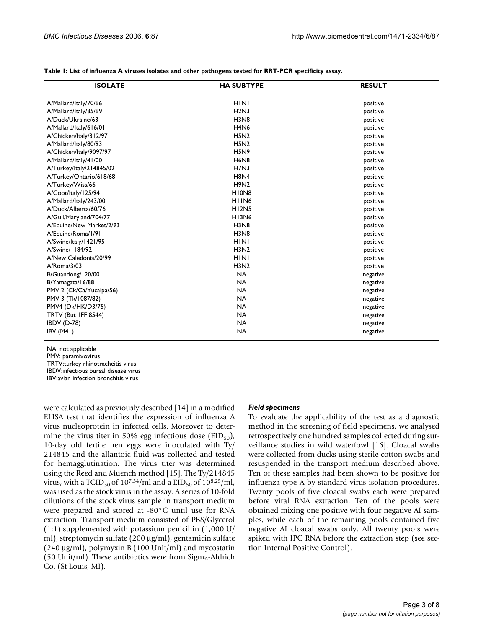| <b>ISOLATE</b>           | <b>HA SUBTYPE</b>              | <b>RESULT</b> |
|--------------------------|--------------------------------|---------------|
| A/Mallard/Italy/70/96    | <b>HINI</b>                    | positive      |
| A/Mallard/Italy/35/99    | H2N3                           | positive      |
| A/Duck/Ukraine/63        | <b>H3N8</b>                    | positive      |
| A/Mallard/Italy/616/01   | <b>H4N6</b>                    | positive      |
| A/Chicken/Italy/312/97   | <b>H5N2</b>                    | positive      |
| A/Mallard/Italy/80/93    | <b>H5N2</b>                    | positive      |
| A/Chicken/Italy/9097/97  | <b>H5N9</b>                    | positive      |
| A/Mallard/Italy/41/00    | <b>H6N8</b>                    | positive      |
| A/Turkey/Italy/214845/02 | <b>H7N3</b>                    | positive      |
| A/Turkey/Ontario/618/68  | <b>H8N4</b>                    | positive      |
| A/Turkey/Wiss/66         | <b>H9N2</b>                    | positive      |
| A/Coot/Italy/125/94      | H <sub>10</sub> N <sub>8</sub> | positive      |
| A/Mallard/Italy/243/00   | HIIN <sub>6</sub>              | positive      |
| A/Duck/Alberta/60/76     | <b>HI2N5</b>                   | positive      |
| A/Gull/Maryland/704/77   | <b>H13N6</b>                   | positive      |
| A/Equine/New Market/2/93 | H <sub>3</sub> N <sub>8</sub>  | positive      |
| A/Equine/Roma/1/91       | H <sub>3</sub> N <sub>8</sub>  | positive      |
| A/Swine/Italy/1421/95    | <b>HINI</b>                    | positive      |
| A/Swine/1184/92          | <b>H3N2</b>                    | positive      |
| A/New Caledonia/20/99    | <b>HINI</b>                    | positive      |
| A/Roma/3/03              | <b>H3N2</b>                    | positive      |
| B/Guandong/120/00        | <b>NA</b>                      | negative      |
| B/Yamagata/16/88         | <b>NA</b>                      | negative      |
| PMV 2 (Ck/Ca/Yucaipa/56) | <b>NA</b>                      | negative      |
| PMV 3 (Tk/1087/82)       | <b>NA</b>                      | negative      |
| PMV4 (Dk/HK/D3/75)       | <b>NA</b>                      | negative      |
| TRTV (But IFF 8544)      | <b>NA</b>                      | negative      |
| <b>IBDV (D-78)</b>       | <b>NA</b>                      | negative      |
| IBV (M41)                | <b>NA</b>                      | negative      |

**Table 1: List of influenza A viruses isolates and other pathogens tested for RRT-PCR specificity assay.**

NA: not applicable

PMV: paramixovirus

TRTV:turkey rhinotracheitis virus

IBDV:infectious bursal disease virus

IBV:avian infection bronchitis virus

were calculated as previously described [14] in a modified ELISA test that identifies the expression of influenza A virus nucleoprotein in infected cells. Moreover to determine the virus titer in 50% egg infectious dose  $(EID_{50})$ , 10-day old fertile hen eggs were inoculated with Ty/ 214845 and the allantoic fluid was collected and tested for hemagglutination. The virus titer was determined using the Reed and Muench method [15]. The Ty/214845 virus, with a TCID<sub>50</sub> of 10<sup>7.34</sup>/ml and a EID<sub>50</sub> of 10<sup>8.25</sup>/ml, was used as the stock virus in the assay. A series of 10-fold dilutions of the stock virus sample in transport medium were prepared and stored at -80°C until use for RNA extraction. Transport medium consisted of PBS/Glycerol (1:1) supplemented with potassium penicillin (1,000 U/ ml), streptomycin sulfate (200 μg/ml), gentamicin sulfate (240 μg/ml), polymyxin B (100 Unit/ml) and mycostatin (50 Unit/ml). These antibiotics were from Sigma-Aldrich Co. (St Louis, MI).

#### *Field specimens*

To evaluate the applicability of the test as a diagnostic method in the screening of field specimens, we analysed retrospectively one hundred samples collected during surveillance studies in wild waterfowl [16]. Cloacal swabs were collected from ducks using sterile cotton swabs and resuspended in the transport medium described above. Ten of these samples had been shown to be positive for influenza type A by standard virus isolation procedures. Twenty pools of five cloacal swabs each were prepared before viral RNA extraction. Ten of the pools were obtained mixing one positive with four negative AI samples, while each of the remaining pools contained five negative AI cloacal swabs only. All twenty pools were spiked with IPC RNA before the extraction step (see section Internal Positive Control).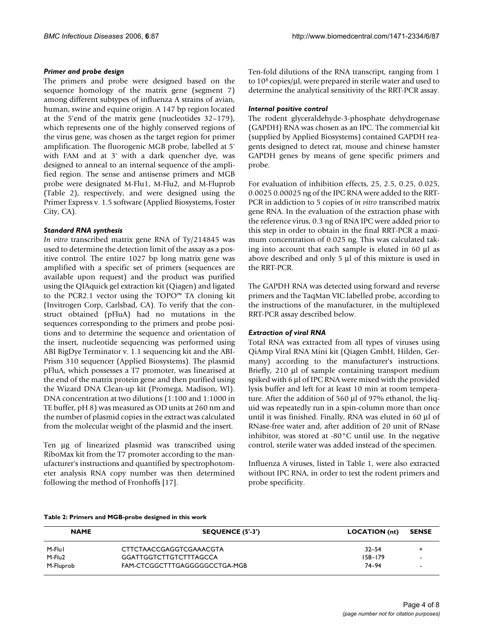#### *Primer and probe design*

The primers and probe were designed based on the sequence homology of the matrix gene (segment 7) among different subtypes of influenza A strains of avian, human, swine and equine origin. A 147 bp region located at the 5'end of the matrix gene (nucleotides 32–179), which represents one of the highly conserved regions of the virus gene, was chosen as the target region for primer amplification. The fluorogenic MGB probe, labelled at 5' with FAM and at 3' with a dark quencher dye, was designed to anneal to an internal sequence of the amplified region. The sense and antisense primers and MGB probe were designated M-Flu1, M-Flu2, and M-Fluprob (Table 2), respectively, and were designed using the Primer Express v. 1.5 software (Applied Biosystems, Foster City, CA).

#### *Standard RNA synthesis*

*In vitro* transcribed matrix gene RNA of Ty/214845 was used to determine the detection limit of the assay as a positive control. The entire 1027 bp long matrix gene was amplified with a specific set of primers (sequences are available upon request) and the product was purified using the QIAquick gel extraction kit (Qiagen) and ligated to the PCR2.1 vector using the TOPO™ TA cloning kit (Invitrogen Corp, Carlsbad, CA). To verify that the construct obtained (pFluA) had no mutations in the sequences corresponding to the primers and probe positions and to determine the sequence and orientation of the insert, nucleotide sequencing was performed using ABI BigDye Terminator v. 1.1 sequencing kit and the ABI-Prism 310 sequencer (Applied Biosystems). The plasmid pFluA, which possesses a T7 promoter, was linearised at the end of the matrix protein gene and then purified using the Wizard DNA Clean-up kit (Promega, Madison, WI). DNA concentration at two dilutions (1:100 and 1:1000 in TE buffer, pH 8) was measured as OD units at 260 nm and the number of plasmid copies in the extract was calculated from the molecular weight of the plasmid and the insert.

Ten μg of linearized plasmid was transcribed using RiboMax kit from the T7 promoter according to the manufacturer's instructions and quantified by spectrophotometer analysis RNA copy number was then determined following the method of Fronhoffs [17].

Ten-fold dilutions of the RNA transcript, ranging from 1 to 108 copies/μl, were prepared in sterile water and used to determine the analytical sensitivity of the RRT-PCR assay.

#### *Internal positive control*

The rodent glyceraldehyde-3-phosphate dehydrogenase (GAPDH) RNA was chosen as an IPC. The commercial kit (supplied by Applied Biosystems) contained GAPDH reagents designed to detect rat, mouse and chinese hamster GAPDH genes by means of gene specific primers and probe.

For evaluation of inhibition effects, 25, 2.5, 0.25, 0.025, 0.0025 0.00025 ng of the IPC RNA were added to the RRT-PCR in addiction to 5 copies of *in vitro* transcribed matrix gene RNA. In the evaluation of the extraction phase with the reference virus, 0.3 ng of RNA IPC were added prior to this step in order to obtain in the final RRT-PCR a maximum concentration of 0.025 ng. This was calculated taking into account that each sample is eluted in 60 μl as above described and only 5 μl of this mixture is used in the RRT-PCR.

The GAPDH RNA was detected using forward and reverse primers and the TaqMan VIC labelled probe, according to the instructions of the manufacturer, in the multiplexed RRT-PCR assay described below.

#### *Extraction of viral RNA*

Total RNA was extracted from all types of viruses using QiAmp Viral RNA Mini kit (Qiagen GmbH, Hilden, Germany) according to the manufacturer's instructions. Briefly, 210 μl of sample containing transport medium spiked with 6 μl of IPC RNA were mixed with the provided lysis buffer and left for at least 10 min at room temperature. After the addition of 560 μl of 97% ethanol, the liquid was repeatedly run in a spin-column more than once until it was finished. Finally, RNA was eluted in 60 μl of RNase-free water and, after addition of 20 unit of RNase inhibitor, was stored at -80°C until use. In the negative control, sterile water was added instead of the specimen.

Influenza A viruses, listed in Table 1, were also extracted without IPC RNA, in order to test the rodent primers and probe specificity.

#### **Table 2: Primers and MGB-probe designed in this work**

| <b>NAME</b> | SEQUENCE (5'-3')              | <b>LOCATION</b> (nt)<br><b>SENSE</b> |  |
|-------------|-------------------------------|--------------------------------------|--|
| M-Flul      | CTTCTAACCGAGGTCGAAACGTA       | $32 - 54$                            |  |
| M-Flu2      | <b>GGATTGGTCTTGTCTTTAGCCA</b> | $158 - 179$<br>-                     |  |
| M-Fluprob   | FAM-CTCGGCTTTGAGGGGGCCTGA-MGB | 74-94                                |  |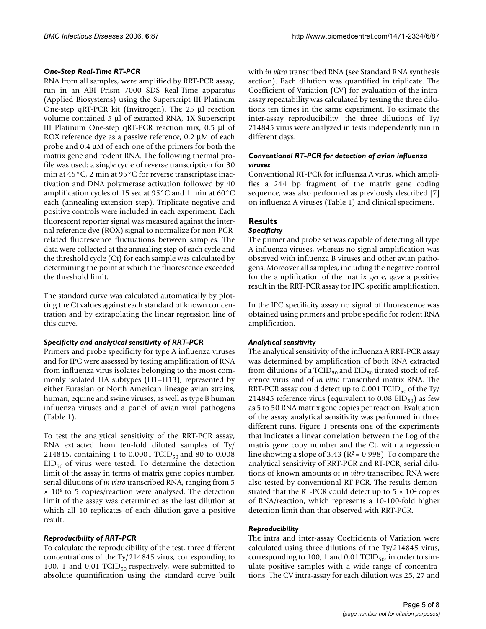# *One-Step Real-Time RT-PCR*

RNA from all samples, were amplified by RRT-PCR assay, run in an ABI Prism 7000 SDS Real-Time apparatus (Applied Biosystems) using the Superscript III Platinum One-step qRT-PCR kit (Invitrogen). The 25 μl reaction volume contained 5 μl of extracted RNA, 1X Superscript III Platinum One-step qRT-PCR reaction mix, 0.5 μl of ROX reference dye as a passive reference, 0.2 μM of each probe and 0.4 μM of each one of the primers for both the matrix gene and rodent RNA. The following thermal profile was used: a single cycle of reverse transcription for 30 min at 45°C, 2 min at 95°C for reverse transcriptase inactivation and DNA polymerase activation followed by 40 amplification cycles of 15 sec at 95°C and 1 min at 60°C each (annealing-extension step). Triplicate negative and positive controls were included in each experiment. Each fluorescent reporter signal was measured against the internal reference dye (ROX) signal to normalize for non-PCRrelated fluorescence fluctuations between samples. The data were collected at the annealing step of each cycle and the threshold cycle (Ct) for each sample was calculated by determining the point at which the fluorescence exceeded the threshold limit.

The standard curve was calculated automatically by plotting the Ct values against each standard of known concentration and by extrapolating the linear regression line of this curve.

# *Specificity and analytical sensitivity of RRT-PCR*

Primers and probe specificity for type A influenza viruses and for IPC were assessed by testing amplification of RNA from influenza virus isolates belonging to the most commonly isolated HA subtypes (H1–H13), represented by either Eurasian or North American lineage avian strains, human, equine and swine viruses, as well as type B human influenza viruses and a panel of avian viral pathogens (Table 1).

To test the analytical sensitivity of the RRT-PCR assay, RNA extracted from ten-fold diluted samples of Ty/ 214845, containing 1 to 0,0001 TCID<sub>50</sub> and 80 to 0.008  $EID_{50}$  of virus were tested. To determine the detection limit of the assay in terms of matrix gene copies number, serial dilutions of *in vitro* transcribed RNA, ranging from 5  $\times$  10<sup>8</sup> to 5 copies/reaction were analysed. The detection limit of the assay was determined as the last dilution at which all 10 replicates of each dilution gave a positive result.

# *Reproducibility of RRT-PCR*

To calculate the reproducibility of the test, three different concentrations of the Ty/214845 virus, corresponding to 100, 1 and 0,01 TCID $_{50}$  respectively, were submitted to absolute quantification using the standard curve built with *in vitro* transcribed RNA (see Standard RNA synthesis section). Each dilution was quantified in triplicate. The Coefficient of Variation (CV) for evaluation of the intraassay repeatability was calculated by testing the three dilutions ten times in the same experiment. To estimate the inter-assay reproducibility, the three dilutions of Ty/ 214845 virus were analyzed in tests independently run in different days.

# *Conventional RT-PCR for detection of avian influenza viruses*

Conventional RT-PCR for influenza A virus, which amplifies a 244 bp fragment of the matrix gene coding sequence, was also performed as previously described [7] on influenza A viruses (Table 1) and clinical specimens.

# **Results** *Specificity*

The primer and probe set was capable of detecting all type A influenza viruses, whereas no signal amplification was observed with influenza B viruses and other avian pathogens. Moreover all samples, including the negative control for the amplification of the matrix gene, gave a positive result in the RRT-PCR assay for IPC specific amplification.

In the IPC specificity assay no signal of fluorescence was obtained using primers and probe specific for rodent RNA amplification.

# *Analytical sensitivity*

The analytical sensitivity of the influenza A RRT-PCR assay was determined by amplification of both RNA extracted from dilutions of a TCID<sub>50</sub> and EID<sub>50</sub> titrated stock of reference virus and of *in vitro* transcribed matrix RNA. The RRT-PCR assay could detect up to 0.001 TCID $_{50}$  of the Ty/ 214845 reference virus (equivalent to 0.08  $EID_{50}$ ) as few as 5 to 50 RNA matrix gene copies per reaction. Evaluation of the assay analytical sensitivity was performed in three different runs. Figure 1 presents one of the experiments that indicates a linear correlation between the Log of the matrix gene copy number and the Ct, with a regression line showing a slope of 3.43 ( $R^2$  = 0.998). To compare the analytical sensitivity of RRT-PCR and RT-PCR, serial dilutions of known amounts of *in vitro* transcribed RNA were also tested by conventional RT-PCR. The results demonstrated that the RT-PCR could detect up to  $5 \times 10^2$  copies of RNA/reaction, which represents a 10-100-fold higher detection limit than that observed with RRT-PCR.

# *Reproducibility*

The intra and inter-assay Coefficients of Variation were calculated using three dilutions of the Ty/214845 virus, corresponding to 100, 1 and 0,01 TCID $_{50}$ , in order to simulate positive samples with a wide range of concentrations. The CV intra-assay for each dilution was 25, 27 and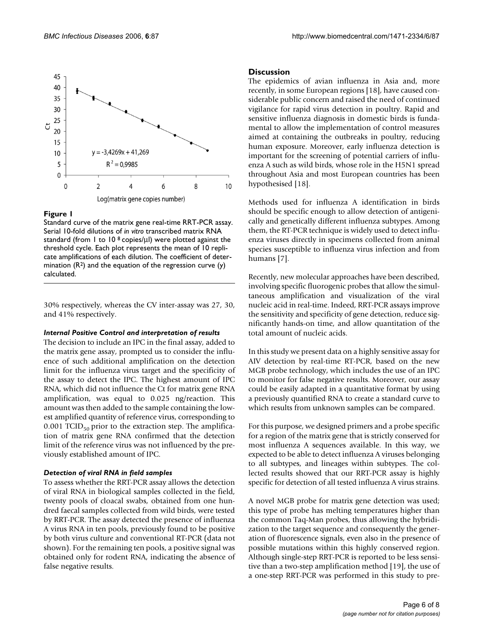

#### **Figure 1**

Standard curve of the matrix gene real-time RRT-PCR assay. Serial 10-fold dilutions of *in vitro* transcribed matrix RNA standard (from 1 to 10  $\frac{8}{2}$  copies/ $\mu$ I) were plotted against the threshold cycle. Each plot represents the mean of 10 replicate amplifications of each dilution. The coefficient of determination  $(R^2)$  and the equation of the regression curve  $(y)$ calculated.

30% respectively, whereas the CV inter-assay was 27, 30, and 41% respectively.

#### *Internal Positive Control and interpretation of results*

The decision to include an IPC in the final assay, added to the matrix gene assay, prompted us to consider the influence of such additional amplification on the detection limit for the influenza virus target and the specificity of the assay to detect the IPC. The highest amount of IPC RNA, which did not influence the Ct for matrix gene RNA amplification, was equal to 0.025 ng/reaction. This amount was then added to the sample containing the lowest amplified quantity of reference virus, corresponding to 0.001 TCID $_{50}$  prior to the extraction step. The amplification of matrix gene RNA confirmed that the detection limit of the reference virus was not influenced by the previously established amount of IPC.

#### *Detection of viral RNA in field samples*

To assess whether the RRT-PCR assay allows the detection of viral RNA in biological samples collected in the field, twenty pools of cloacal swabs, obtained from one hundred faecal samples collected from wild birds, were tested by RRT-PCR. The assay detected the presence of influenza A virus RNA in ten pools, previously found to be positive by both virus culture and conventional RT-PCR (data not shown). For the remaining ten pools, a positive signal was obtained only for rodent RNA, indicating the absence of false negative results.

#### **Discussion**

The epidemics of avian influenza in Asia and, more recently, in some European regions [18], have caused considerable public concern and raised the need of continued vigilance for rapid virus detection in poultry. Rapid and sensitive influenza diagnosis in domestic birds is fundamental to allow the implementation of control measures aimed at containing the outbreaks in poultry, reducing human exposure. Moreover, early influenza detection is important for the screening of potential carriers of influenza A such as wild birds, whose role in the H5N1 spread throughout Asia and most European countries has been hypothesised [18].

Methods used for influenza A identification in birds should be specific enough to allow detection of antigenically and genetically different influenza subtypes. Among them, the RT-PCR technique is widely used to detect influenza viruses directly in specimens collected from animal species susceptible to influenza virus infection and from humans [7].

Recently, new molecular approaches have been described, involving specific fluorogenic probes that allow the simultaneous amplification and visualization of the viral nucleic acid in real-time. Indeed, RRT-PCR assays improve the sensitivity and specificity of gene detection, reduce significantly hands-on time, and allow quantitation of the total amount of nucleic acids.

In this study we present data on a highly sensitive assay for AIV detection by real-time RT-PCR, based on the new MGB probe technology, which includes the use of an IPC to monitor for false negative results. Moreover, our assay could be easily adapted in a quantitative format by using a previously quantified RNA to create a standard curve to which results from unknown samples can be compared.

For this purpose, we designed primers and a probe specific for a region of the matrix gene that is strictly conserved for most influenza A sequences available. In this way, we expected to be able to detect influenza A viruses belonging to all subtypes, and lineages within subtypes. The collected results showed that our RRT-PCR assay is highly specific for detection of all tested influenza A virus strains.

A novel MGB probe for matrix gene detection was used; this type of probe has melting temperatures higher than the common Taq-Man probes, thus allowing the hybridization to the target sequence and consequently the generation of fluorescence signals, even also in the presence of possible mutations within this highly conserved region. Although single-step RRT-PCR is reported to be less sensitive than a two-step amplification method [19], the use of a one-step RRT-PCR was performed in this study to pre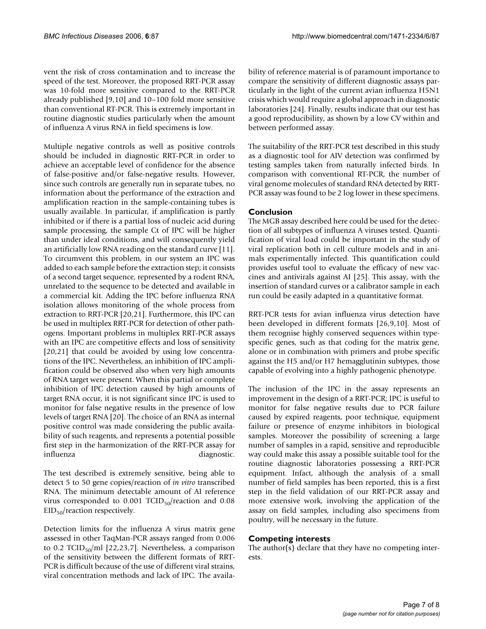vent the risk of cross contamination and to increase the speed of the test. Moreover, the proposed RRT-PCR assay was 10-fold more sensitive compared to the RRT-PCR already published [9,10] and 10–100 fold more sensitive than conventional RT-PCR. This is extremely important in routine diagnostic studies particularly when the amount of influenza A virus RNA in field specimens is low.

Multiple negative controls as well as positive controls should be included in diagnostic RRT-PCR in order to achieve an acceptable level of confidence for the absence of false-positive and/or false-negative results. However, since such controls are generally run in separate tubes, no information about the performance of the extraction and amplification reaction in the sample-containing tubes is usually available. In particular, if amplification is partly inhibited or if there is a partial loss of nucleic acid during sample processing, the sample Ct of IPC will be higher than under ideal conditions, and will consequently yield an artificially low RNA reading on the standard curve [11]. To circumvent this problem, in our system an IPC was added to each sample before the extraction step; it consists of a second target sequence, represented by a rodent RNA, unrelated to the sequence to be detected and available in a commercial kit. Adding the IPC before influenza RNA isolation allows monitoring of the whole process from extraction to RRT-PCR [20,21]. Furthermore, this IPC can be used in multiplex RRT-PCR for detection of other pathogens. Important problems in multiplex RRT-PCR assays with an IPC are competitive effects and loss of sensitivity [20,21] that could be avoided by using low concentrations of the IPC. Nevertheless, an inhibition of IPC amplification could be observed also when very high amounts of RNA target were present. When this partial or complete inhibition of IPC detection caused by high amounts of target RNA occur, it is not significant since IPC is used to monitor for false negative results in the presence of low levels of target RNA [20]. The choice of an RNA as internal positive control was made considering the public availability of such reagents, and represents a potential possible first step in the harmonization of the RRT-PCR assay for influenza diagnostic.

The test described is extremely sensitive, being able to detect 5 to 50 gene copies/reaction of *in vitro* transcribed RNA. The minimum detectable amount of AI reference virus corresponded to  $0.001$  TCID<sub>50</sub>/reaction and  $0.08$  $EID_{50}/$ reaction respectively.

Detection limits for the influenza A virus matrix gene assessed in other TaqMan-PCR assays ranged from 0.006 to 0.2 TCID<sub>50</sub>/ml [22,23,7]. Nevertheless, a comparison of the sensitivity between the different formats of RRT-PCR is difficult because of the use of different viral strains, viral concentration methods and lack of IPC. The availability of reference material is of paramount importance to compare the sensitivity of different diagnostic assays particularly in the light of the current avian influenza H5N1 crisis which would require a global approach in diagnostic laboratories [24]. Finally, results indicate that our test has a good reproducibility, as shown by a low CV within and between performed assay.

The suitability of the RRT-PCR test described in this study as a diagnostic tool for AIV detection was confirmed by testing samples taken from naturally infected birds. In comparison with conventional RT-PCR, the number of viral genome molecules of standard RNA detected by RRT-PCR assay was found to be 2 log lower in these specimens.

# **Conclusion**

The MGB assay described here could be used for the detection of all subtypes of influenza A viruses tested. Quantification of viral load could be important in the study of viral replication both in cell culture models and in animals experimentally infected. This quantification could provides useful tool to evaluate the efficacy of new vaccines and antivirals against AI [25]. This assay, with the insertion of standard curves or a calibrator sample in each run could be easily adapted in a quantitative format.

RRT-PCR tests for avian influenza virus detection have been developed in different formats [26,9,10]. Most of them recognise highly conserved sequences within typespecific genes, such as that coding for the matrix gene, alone or in combination with primers and probe specific against the H5 and/or H7 hemagglutinin subtypes, those capable of evolving into a highly pathogenic phenotype.

The inclusion of the IPC in the assay represents an improvement in the design of a RRT-PCR; IPC is useful to monitor for false negative results due to PCR failure caused by expired reagents, poor technique, equipment failure or presence of enzyme inhibitors in biological samples. Moreover the possibility of screening a large number of samples in a rapid, sensitive and reproducible way could make this assay a possible suitable tool for the routine diagnostic laboratories possessing a RRT-PCR equipment. Infact, although the analysis of a small number of field samples has been reported, this is a first step in the field validation of our RRT-PCR assay and more extensive work, involving the application of the assay on field samples, including also specimens from poultry, will be necessary in the future.

# **Competing interests**

The author(s) declare that they have no competing interests.